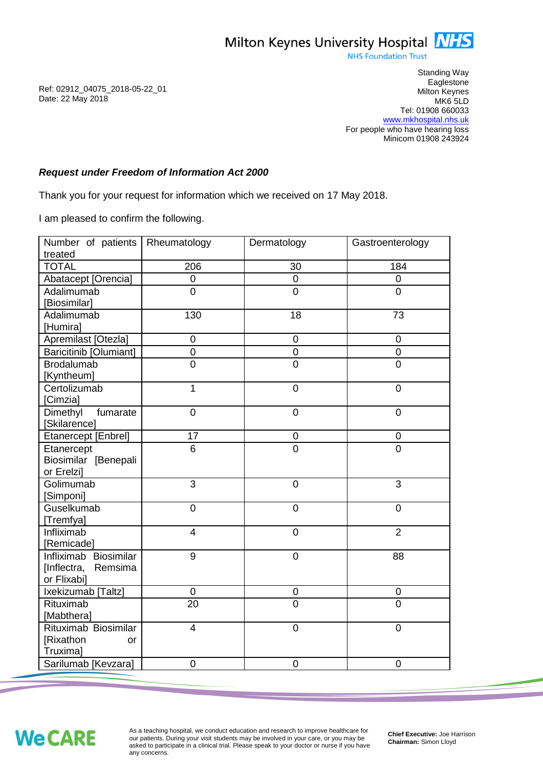**NHS Foundation Trust** 

Standing Way **Eaglestone** Milton Keynes MK6 5LD Tel: 01908 660033 [www.mkhospital.nhs.uk](http://www.mkhospital.nhs.uk/) For people who have hearing loss Minicom 01908 243924

## *Request under Freedom of Information Act 2000*

Thank you for your request for information which we received on 17 May 2018.

I am pleased to confirm the following.

| Number of patients                                             | Rheumatology    | Dermatology      | Gastroenterology |
|----------------------------------------------------------------|-----------------|------------------|------------------|
| treated<br><b>TOTAL</b>                                        | 206             | 30               | 184              |
|                                                                | $\mathsf 0$     | $\pmb{0}$        | $\overline{0}$   |
| Abatacept [Orencia]                                            |                 |                  | $\overline{0}$   |
| Adalimumab<br>[Biosimilar]                                     | $\overline{0}$  | $\overline{0}$   |                  |
| Adalimumab<br>[Humira]                                         | 130             | 18               | 73               |
| Apremilast [Otezla]                                            | $\mathbf 0$     | $\pmb{0}$        | $\mathbf 0$      |
| <b>Baricitinib [Olumiant]</b>                                  | $\overline{0}$  | $\mathbf 0$      | $\overline{0}$   |
| <b>Brodalumab</b><br>[Kyntheum]                                | $\overline{0}$  | $\overline{0}$   | $\overline{0}$   |
| Certolizumab<br>[Cimzia]                                       | $\mathbf{1}$    | $\mathbf 0$      | $\mathbf 0$      |
| Dimethyl<br>fumarate<br>[Skilarence]                           | $\overline{0}$  | $\mathbf 0$      | $\mathbf 0$      |
| Etanercept [Enbrel]                                            | 17              | $\pmb{0}$        | $\pmb{0}$        |
| Etanercept<br>Biosimilar [Benepali<br>or Erelzi]               | 6               | $\overline{0}$   | $\overline{0}$   |
| Golimumab<br>[Simponi]                                         | 3               | $\overline{0}$   | $\overline{3}$   |
| Guselkumab<br>[Tremfya]                                        | $\mathbf 0$     | $\overline{0}$   | $\overline{0}$   |
| Infliximab<br>[Remicade]                                       | $\overline{4}$  | $\overline{0}$   | $\overline{2}$   |
| Infliximab Biosimilar<br>[Inflectra,<br>Remsima<br>or Flixabi] | 9               | $\mathbf 0$      | 88               |
| Ixekizumab [Taltz]                                             | 0               | $\mathbf 0$      | $\mathbf 0$      |
| Rituximab<br>[Mabthera]                                        | $\overline{20}$ | $\overline{0}$   | $\overline{0}$   |
| Rituximab Biosimilar<br>[Rixathon<br>or<br>Truxima]            | $\overline{4}$  | $\mathbf 0$      | 0                |
| Sarilumab [Kevzara]                                            | 0               | $\boldsymbol{0}$ | 0                |

**We CARE** 

As a teaching hospital, we conduct education and research to improve healthcare for our patients. During your visit students may be involved in your care, or you may be asked to participate in a clinical trial. Please speak to your doctor or nurse if you have any concerns.

**Chief Executive:** Joe Harrison **Chairman:** Simon Lloyd